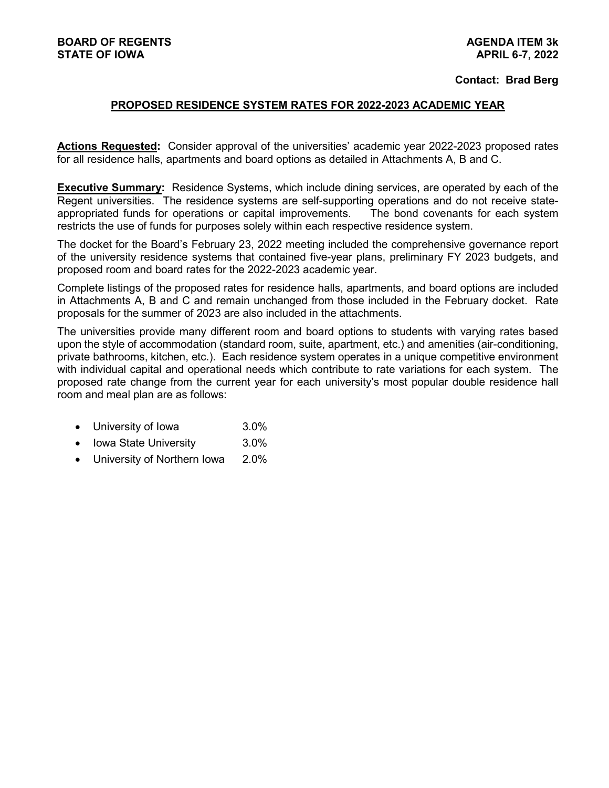**Contact: Brad Berg**

## **PROPOSED RESIDENCE SYSTEM RATES FOR 2022-2023 ACADEMIC YEAR**

**Actions Requested:** Consider approval of the universities' academic year 2022-2023 proposed rates for all residence halls, apartments and board options as detailed in Attachments A, B and C.

**Executive Summary:** Residence Systems, which include dining services, are operated by each of the Regent universities. The residence systems are self-supporting operations and do not receive stateappropriated funds for operations or capital improvements. The bond covenants for each system restricts the use of funds for purposes solely within each respective residence system.

The docket for the Board's February 23, 2022 meeting included the comprehensive governance report of the university residence systems that contained five-year plans, preliminary FY 2023 budgets, and proposed room and board rates for the 2022-2023 academic year.

Complete listings of the proposed rates for residence halls, apartments, and board options are included in Attachments A, B and C and remain unchanged from those included in the February docket. Rate proposals for the summer of 2023 are also included in the attachments.

The universities provide many different room and board options to students with varying rates based upon the style of accommodation (standard room, suite, apartment, etc.) and amenities (air-conditioning, private bathrooms, kitchen, etc.). Each residence system operates in a unique competitive environment with individual capital and operational needs which contribute to rate variations for each system. The proposed rate change from the current year for each university's most popular double residence hall room and meal plan are as follows:

- University of Iowa 3.0%
- Iowa State University 3.0%
- University of Northern Iowa 2.0%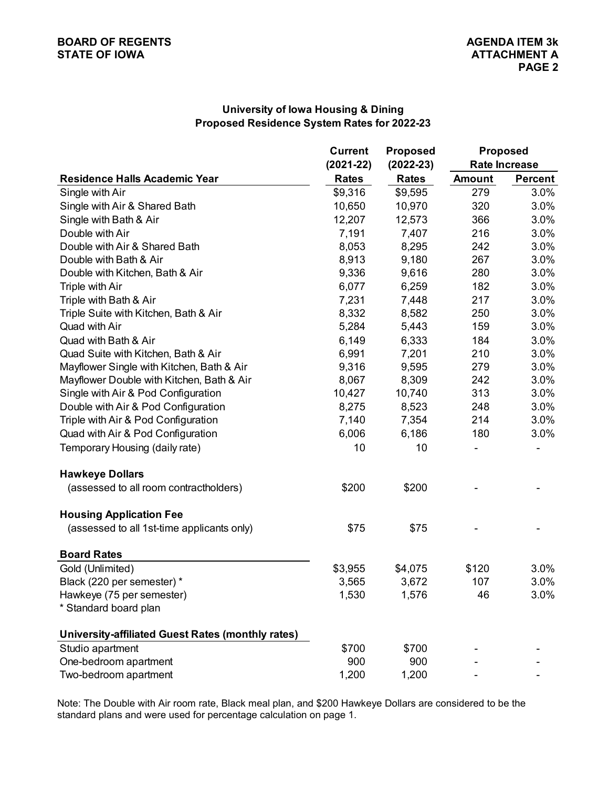# **University of Iowa Housing & Dining Proposed Residence System Rates for 2022-23**

|                                                   | <b>Current</b> | <b>Proposed</b> | <b>Proposed</b> |                      |  |  |
|---------------------------------------------------|----------------|-----------------|-----------------|----------------------|--|--|
|                                                   | $(2021 - 22)$  | $(2022-23)$     |                 | <b>Rate Increase</b> |  |  |
| <b>Residence Halls Academic Year</b>              | <b>Rates</b>   | <b>Rates</b>    | <b>Amount</b>   | <b>Percent</b>       |  |  |
| Single with Air                                   | \$9,316        | \$9,595         | 279             | 3.0%                 |  |  |
| Single with Air & Shared Bath                     | 10,650         | 10,970          | 320             | 3.0%                 |  |  |
| Single with Bath & Air                            | 12,207         | 12,573          | 366             | 3.0%                 |  |  |
| Double with Air                                   | 7,191          | 7,407           | 216             | 3.0%                 |  |  |
| Double with Air & Shared Bath                     | 8,053          | 8,295           | 242             | 3.0%                 |  |  |
| Double with Bath & Air                            | 8,913          | 9,180           | 267             | 3.0%                 |  |  |
| Double with Kitchen, Bath & Air                   | 9,336          | 9,616           | 280             | 3.0%                 |  |  |
| Triple with Air                                   | 6,077          | 6,259           | 182             | 3.0%                 |  |  |
| Triple with Bath & Air                            | 7,231          | 7,448           | 217             | 3.0%                 |  |  |
| Triple Suite with Kitchen, Bath & Air             | 8,332          | 8,582           | 250             | 3.0%                 |  |  |
| Quad with Air                                     | 5,284          | 5,443           | 159             | 3.0%                 |  |  |
| Quad with Bath & Air                              | 6,149          | 6,333           | 184             | 3.0%                 |  |  |
| Quad Suite with Kitchen, Bath & Air               | 6,991          | 7,201           | 210             | 3.0%                 |  |  |
| Mayflower Single with Kitchen, Bath & Air         | 9,316          | 9,595           | 279             | 3.0%                 |  |  |
| Mayflower Double with Kitchen, Bath & Air         | 8,067          | 8,309           | 242             | 3.0%                 |  |  |
| Single with Air & Pod Configuration               | 10,427         | 10,740          | 313             | 3.0%                 |  |  |
| Double with Air & Pod Configuration               | 8,275          | 8,523           | 248             | 3.0%                 |  |  |
| Triple with Air & Pod Configuration               | 7,140          | 7,354           | 214             | 3.0%                 |  |  |
| Quad with Air & Pod Configuration                 | 6,006          | 6,186           | 180             | 3.0%                 |  |  |
| Temporary Housing (daily rate)                    | 10             | 10              | -               |                      |  |  |
| <b>Hawkeye Dollars</b>                            |                |                 |                 |                      |  |  |
| (assessed to all room contractholders)            | \$200          | \$200           |                 |                      |  |  |
| <b>Housing Application Fee</b>                    |                |                 |                 |                      |  |  |
| (assessed to all 1st-time applicants only)        | \$75           | \$75            |                 |                      |  |  |
| <b>Board Rates</b>                                |                |                 |                 |                      |  |  |
| Gold (Unlimited)                                  | \$3,955        | \$4,075         | \$120           | 3.0%                 |  |  |
| Black (220 per semester) *                        | 3,565          | 3,672           | 107             | 3.0%                 |  |  |
| Hawkeye (75 per semester)                         | 1,530          | 1,576           | 46              | 3.0%                 |  |  |
| * Standard board plan                             |                |                 |                 |                      |  |  |
| University-affiliated Guest Rates (monthly rates) |                |                 |                 |                      |  |  |
| Studio apartment                                  | \$700          | \$700           |                 |                      |  |  |
| One-bedroom apartment                             | 900            | 900             |                 |                      |  |  |
| Two-bedroom apartment                             | 1,200          | 1,200           |                 |                      |  |  |

Note: The Double with Air room rate, Black meal plan, and \$200 Hawkeye Dollars are considered to be the standard plans and were used for percentage calculation on page 1.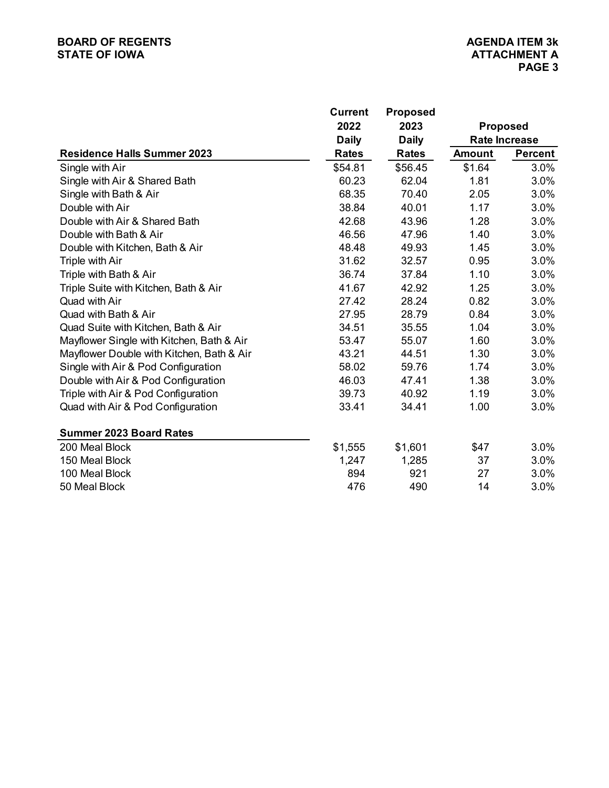# **BOARD OF REGENTS**<br> **BOARD OF REGENTS**<br> **BOARD OF IOWA**<br> **ATTACHMENT A STATE OF IOWA**

|                                           | <b>Current</b> | <b>Proposed</b> |               |                      |
|-------------------------------------------|----------------|-----------------|---------------|----------------------|
|                                           | 2022           | 2023            |               | <b>Proposed</b>      |
|                                           | <b>Daily</b>   | <b>Daily</b>    |               | <b>Rate Increase</b> |
| <b>Residence Halls Summer 2023</b>        | <b>Rates</b>   | <b>Rates</b>    | <b>Amount</b> | <b>Percent</b>       |
| Single with Air                           | \$54.81        | \$56.45         | \$1.64        | 3.0%                 |
| Single with Air & Shared Bath             | 60.23          | 62.04           | 1.81          | 3.0%                 |
| Single with Bath & Air                    | 68.35          | 70.40           | 2.05          | 3.0%                 |
| Double with Air                           | 38.84          | 40.01           | 1.17          | 3.0%                 |
| Double with Air & Shared Bath             | 42.68          | 43.96           | 1.28          | 3.0%                 |
| Double with Bath & Air                    | 46.56          | 47.96           | 1.40          | 3.0%                 |
| Double with Kitchen, Bath & Air           | 48.48          | 49.93           | 1.45          | 3.0%                 |
| Triple with Air                           | 31.62          | 32.57           | 0.95          | 3.0%                 |
| Triple with Bath & Air                    | 36.74          | 37.84           | 1.10          | 3.0%                 |
| Triple Suite with Kitchen, Bath & Air     | 41.67          | 42.92           | 1.25          | 3.0%                 |
| Quad with Air                             | 27.42          | 28.24           | 0.82          | 3.0%                 |
| Quad with Bath & Air                      | 27.95          | 28.79           | 0.84          | 3.0%                 |
| Quad Suite with Kitchen, Bath & Air       | 34.51          | 35.55           | 1.04          | 3.0%                 |
| Mayflower Single with Kitchen, Bath & Air | 53.47          | 55.07           | 1.60          | 3.0%                 |
| Mayflower Double with Kitchen, Bath & Air | 43.21          | 44.51           | 1.30          | 3.0%                 |
| Single with Air & Pod Configuration       | 58.02          | 59.76           | 1.74          | 3.0%                 |
| Double with Air & Pod Configuration       | 46.03          | 47.41           | 1.38          | 3.0%                 |
| Triple with Air & Pod Configuration       | 39.73          | 40.92           | 1.19          | 3.0%                 |
| Quad with Air & Pod Configuration         | 33.41          | 34.41           | 1.00          | 3.0%                 |
| <b>Summer 2023 Board Rates</b>            |                |                 |               |                      |
| 200 Meal Block                            | \$1,555        | \$1,601         | \$47          | 3.0%                 |
| 150 Meal Block                            | 1,247          | 1,285           | 37            | 3.0%                 |
| 100 Meal Block                            | 894            | 921             | 27            | 3.0%                 |
| 50 Meal Block                             | 476            | 490             | 14            | 3.0%                 |
|                                           |                |                 |               |                      |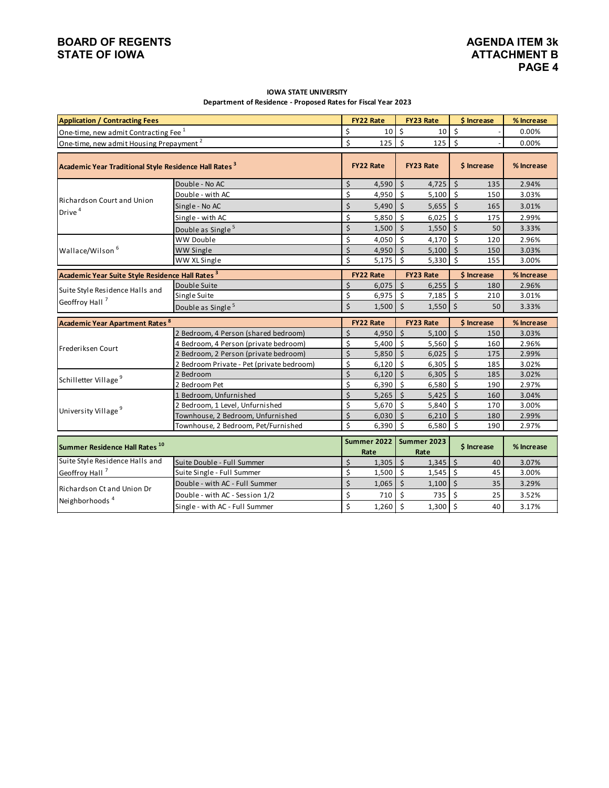# **BOARD OF REGENTS**<br> **BOARD OF REGENTS**<br> **BOARD OF IOWA**<br> **ATTACHMENT B STATE OF IOWA**

#### **IOWA STATE UNIVERSITY Department of Residence - Proposed Rates for Fiscal Year 2023**

| <b>Application / Contracting Fees</b>                             |                                           |                    | <b>FY22 Rate</b>    |                     | <b>FY23 Rate</b>    | \$ Increase                |    | % Increase |
|-------------------------------------------------------------------|-------------------------------------------|--------------------|---------------------|---------------------|---------------------|----------------------------|----|------------|
| One-time, new admit Contracting Fee <sup>1</sup>                  |                                           | \$                 | 10                  | \$                  | 10                  | \$                         |    | 0.00%      |
| One-time, new admit Housing Prepayment <sup>2</sup>               |                                           | \$                 | 125                 | \$                  | 125                 | 5                          |    | 0.00%      |
|                                                                   |                                           |                    |                     |                     |                     |                            |    |            |
| Academic Year Traditional Style Residence Hall Rates <sup>3</sup> |                                           |                    | <b>FY22 Rate</b>    |                     | <b>FY23 Rate</b>    | \$ Increase                |    | % Increase |
|                                                                   | Double - No AC                            | \$                 | 4,590               | $\mathsf{\dot{S}}$  | $4,725$ \$          | 135                        |    | 2.94%      |
|                                                                   | Double - with AC                          | \$                 | 4,950               | $\ddot{\mathsf{s}}$ | 5,100               | 5<br>150                   |    | 3.03%      |
| Richardson Court and Union                                        | Single - No AC                            | \$                 | 5,490               | $\zeta$             | $5,655$ \$          | 165                        |    | 3.01%      |
| Drive <sup>4</sup>                                                | Single - with AC                          | \$                 | 5,850               | Ś.                  | 6,025               | Ś<br>175                   |    | 2.99%      |
|                                                                   | Double as Single <sup>5</sup>             | \$                 | 1,500               | $\zeta$             | 1,550               | $\overline{\mathsf{s}}$    | 50 | 3.33%      |
|                                                                   | WW Double                                 | \$                 | 4,050               | $\zeta$             | 4,170               | $\ddot{\mathsf{s}}$<br>120 |    | 2.96%      |
| Wallace/Wilson <sup>6</sup>                                       | <b>WW Single</b>                          | $\mathsf{\dot{S}}$ | 4,950               | $\dot{\mathsf{s}}$  | 5,100               | I \$<br>150                |    | 3.03%      |
|                                                                   | WW XL Single                              | \$                 | 5,175               | $\mathsf{S}$        | 5,330               | $\frac{1}{2}$<br>155       |    | 3.00%      |
| Academic Year Suite Style Residence Hall Rates <sup>3</sup>       |                                           |                    | <b>FY22 Rate</b>    |                     | <b>FY23 Rate</b>    | \$ Increase                |    | % Increase |
|                                                                   | Double Suite                              | \$                 | $6,075$ \$          |                     | $6,255$ \$          | 180                        |    | 2.96%      |
| Suite Style Residence Halls and                                   | Single Suite                              | \$                 | $6,975$ \$          |                     | $7,185$ \$          | 210                        |    | 3.01%      |
| Geoffroy Hall <sup>7</sup>                                        | Double as Single <sup>5</sup>             | \$                 | $1,500$ \$          |                     | $1,550$ \$          |                            | 50 | 3.33%      |
|                                                                   |                                           |                    |                     |                     |                     |                            |    |            |
|                                                                   |                                           |                    | <b>FY22 Rate</b>    |                     | <b>FY23 Rate</b>    |                            |    | % Increase |
| <b>Academic Year Apartment Rates 8</b>                            | 2 Bedroom, 4 Person (shared bedroom)      | \$                 | 4,950               | $\zeta$             | 5,100               | \$ Increase<br>I\$<br>150  |    | 3.03%      |
|                                                                   | 4 Bedroom, 4 Person (private bedroom)     | \$                 | 5,400               | - \$                | 5,560               | l\$<br>160                 |    | 2.96%      |
| Frederiksen Court                                                 | 2 Bedroom, 2 Person (private bedroom)     | $\zeta$            | $5,850$ \$          |                     | $6,025$ \$          | 175                        |    | 2.99%      |
|                                                                   | 2 Bedroom Private - Pet (private bedroom) | \$                 | 6,120               | $\mathsf{S}$        | 6,305               | l \$<br>185                |    | 3.02%      |
|                                                                   | 2 Bedroom                                 | $\zeta$            | 6,120               | \$                  | $6,305$ \$          | 185                        |    | 3.02%      |
| Schilletter Village <sup>9</sup>                                  | 2 Bedroom Pet                             | \$                 | 6,390               | $\mathsf{\hat{S}}$  | 6,580               | $\mathsf{S}$<br>190        |    | 2.97%      |
|                                                                   | 1 Bedroom, Unfurnished                    | Ś                  | 5,265               | $\ddot{\varsigma}$  | $5,425$ \$          | 160                        |    | 3.04%      |
|                                                                   | 2 Bedroom, 1 Level, Unfurnished           | \$                 | 5,670               | Ś                   | 5,840               | $\mathsf{\dot{S}}$<br>170  |    | 3.00%      |
| University Village <sup>9</sup>                                   | Townhouse, 2 Bedroom, Unfurnished         | $\overline{\xi}$   | 6,030               | $\zeta$             | 6,210               | $\zeta$<br>180             |    | 2.99%      |
|                                                                   | Townhouse, 2 Bedroom, Pet/Furnished       | \$                 | 6,390               | \$                  | 6,580               | $\zeta$<br>190             |    | 2.97%      |
| Summer Residence Hall Rates <sup>10</sup>                         |                                           |                    | Summer 2022<br>Rate |                     | Summer 2023<br>Rate | \$ Increase                |    | % Increase |
| Suite Style Residence Halls and                                   | Suite Double - Full Summer                | $\mathsf{\dot{S}}$ | 1,305               | $\zeta$             | $1,345$ \$          |                            | 40 | 3.07%      |
| Geoffroy Hall <sup>7</sup>                                        | Suite Single - Full Summer                | \$                 | 1,500               | $\mathsf{\dot{S}}$  | $1,545$ \$          |                            | 45 | 3.00%      |
|                                                                   | Double - with AC - Full Summer            | \$                 | 1,065               | $\zeta$             | 1,100               | \$ ا                       | 35 | 3.29%      |
| Richardson Ct and Union Dr<br>Neighborhoods <sup>4</sup>          | Double - with AC - Session 1/2            | \$                 | 710                 | \$                  | 735                 | \$                         | 25 | 3.52%      |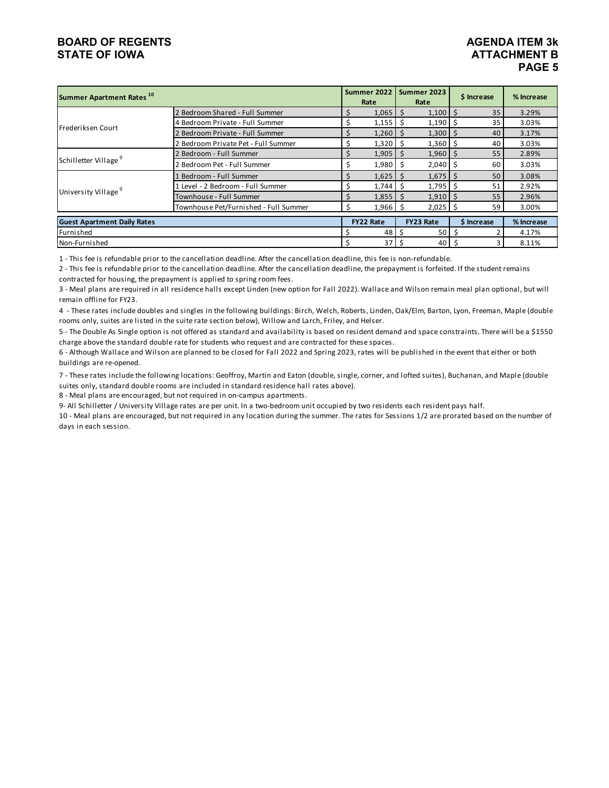# **BOARD OF REGENTS**<br> **BOARD OF REGENTS**<br> **BOARD OF IOWA**<br> **ATTACHMENT B STATE OF IOWA**

# **PAGE 5**

| Summer Apartment Rates <sup>10</sup> |                                       | Summer 2022<br>Rate |    | Summer 2023<br>Rate |    | \$ Increase | % Increase |
|--------------------------------------|---------------------------------------|---------------------|----|---------------------|----|-------------|------------|
|                                      | 2 Bedroom Shared - Full Summer        | 1,065               |    | 1,100               | S. | 35          | 3.29%      |
| Frederiksen Court                    | 4 Bedroom Private - Full Summer       | 1,155               |    | $1,190$ \$          |    | 35          | 3.03%      |
|                                      | 2 Bedroom Private - Full Summer       | $1,260$   \$        |    | $1,300$   \$        |    | 40          | 3.17%      |
|                                      | 2 Bedroom Private Pet - Full Summer   | 1,320               | -S | $1,360$   \$        |    | 40          | 3.03%      |
|                                      | 2 Bedroom - Full Summer               | $1,905$   \$        |    | $1,960$   \$        |    | 55          | 2.89%      |
| Schilletter Village <sup>9</sup>     | 2 Bedroom Pet - Full Summer           | 1,980               | Ŝ  | 2,040               | Ŝ  | 60          | 3.03%      |
|                                      | Bedroom - Full Summer                 | 1,625               |    | 1,675               |    | 50          | 3.08%      |
|                                      | 1 Level - 2 Bedroom - Full Summer     | 1,744               |    | 1,795               | -S | 51          | 2.92%      |
| University Village <sup>9</sup>      | Townhouse - Full Summer               | $1,855$ \$          |    | $1,910$   \$        |    | 55          | 2.96%      |
|                                      | Townhouse Pet/Furnished - Full Summer | $1,966$ \$          |    | $2,025$ \$          |    | 59          | 3.00%      |
| <b>Guest Apartment Daily Rates</b>   |                                       | <b>FY22 Rate</b>    |    | FY23 Rate           |    | \$ Increase | % Increase |
| Furnished                            |                                       | 48                  |    | 50                  |    |             | 4.17%      |
| Non-Furnished                        |                                       | 37                  |    | 40                  |    |             | 8.11%      |

1 - This fee is refundable prior to the cancellation deadline. After the cancellation deadline, this fee is non-refundable.

2 - This fee is refundable prior to the cancellation deadline. After the cancellation deadline, the prepayment is forfeited. If the student remains contracted for housing, the prepayment is applied to spring room fees.

3 - Meal plans are required in all residence halls except Linden (new option for Fall 2022). Wallace and Wilson remain meal plan optional, but will remain offline for FY23.

4 - These rates include doubles and singles in the following buildings: Birch, Welch, Roberts, Linden, Oak/Elm, Barton, Lyon, Freeman, Maple (double rooms only, suites are listed in the suite rate section below), Willow and Larch, Friley, and Helser.

5 - The Double As Single option is not offered as standard and availability is based on resident demand and space constraints. There will be a \$1550 charge above the standard double rate for students who request and are contracted for these spaces.

6 - Although Wallace and Wilson are planned to be closed for Fall 2022 and Spring 2023, rates will be published in the event that either or both buildings are re-opened.

7 - These rates include the following locations: Geoffroy, Martin and Eaton (double, single, corner, and lofted suites), Buchanan, and Maple (double suites only, standard double rooms are included in standard residence hall rates above).

8 - Meal plans are encouraged, but not required in on-campus apartments.

9- All Schilletter / University Village rates are per unit. In a two-bedroom unit occupied by two residents each resident pays half.

10 - Meal plans are encouraged, but not required in any location during the summer. The rates for Sessions 1/2 are prorated based on the number of days in each session.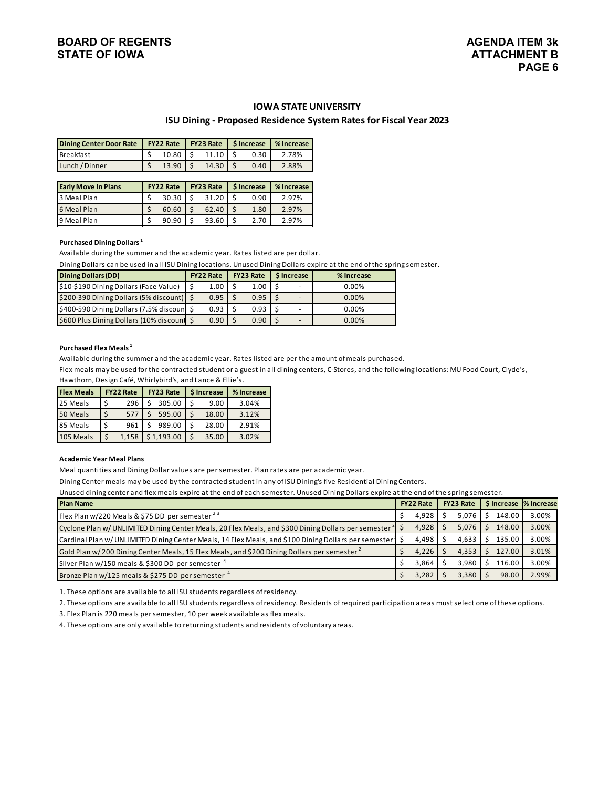#### **IOWA STATE UNIVERSITY**

#### **ISU Dining - Proposed Residence System Rates for Fiscal Year 2023**

| Dining Center Door Rate   FY22 Rate   FY23 Rate   \$ Increase   % Increase |       |       |      |       |  |  |  |
|----------------------------------------------------------------------------|-------|-------|------|-------|--|--|--|
| <b>Breakfast</b>                                                           | 10.80 | 11.10 | 0.30 | 2.78% |  |  |  |
| Lunch / Dinner                                                             | 13.90 | 14.30 | 0.40 | 2.88% |  |  |  |

| <b>Early Move In Plans</b> | <b>FY22 Rate</b> |       | <b>FY23 Rate</b> |       | <b>S</b> Increase |      | % Increase |
|----------------------------|------------------|-------|------------------|-------|-------------------|------|------------|
| 3 Meal Plan                |                  | 30.30 |                  | 31.20 |                   | 0.90 | 2.97%      |
| 6 Meal Plan                |                  | 60.60 |                  | 62.40 |                   | 1.80 | 2.97%      |
| 9 Meal Plan                |                  | 90.90 |                  | 93.60 |                   | 2.70 | 2.97%      |

#### **Purchased Dining Dollars 1**

Available during the summer and the academic year. Rates listed are per dollar.

Dining Dollars can be used in all ISU Dining locations. Unused Dining Dollars expire at the end of the spring semester.

| <b>Dining Dollars (DD)</b>                 | <b>FY22 Rate</b> | <b>FY23 Rate</b><br>\$ Increase |  |                          | % Increase |
|--------------------------------------------|------------------|---------------------------------|--|--------------------------|------------|
| \$10-\$190 Dining Dollars (Face Value)     | 1.00             | 1.00                            |  | -                        | 0.00%      |
| \$200-390 Dining Dollars (5% discount) \$  | 0.95             | 0.95                            |  |                          | 0.00%      |
| \$400-590 Dining Dollars (7.5% discoun     | 0.93             | 0.93                            |  |                          | 0.00%      |
| \$600 Plus Dining Dollars (10% discount \$ | 0.90             | 0.90                            |  | $\overline{\phantom{0}}$ | 0.00%      |

#### **Purchased Flex Meals 1**

Available during the summer and the academic year. Rates listed are per the amount of meals purchased.

Flex meals may be used for the contracted student or a guest in all dining centers, C-Stores, and the following locations: MU Food Court, Clyde's, Hawthorn, Design Café, Whirlybird's, and Lance & Ellie's.

| <b>Flex Meals</b> |              | <b>FY22 Rate</b> | <b>FY23 Rate</b> | <b>S</b> Increase | % Increase |  |  |
|-------------------|--------------|------------------|------------------|-------------------|------------|--|--|
| 25 Meals          | -S           | 296              | 305.00           | 9.00              | 3.04%      |  |  |
| 50 Meals          | <sup>5</sup> | 577              | 595.00           | 18.00             | 3.12%      |  |  |
| 85 Meals          |              | 961              | 989.00           | 28.00             | 2.91%      |  |  |
| 105 Meals         |              | 1.158            | \$1,193.00       | 35.00             | 3.02%      |  |  |

#### **Academic Year Meal Plans**

Meal quantities and Dining Dollar values are per semester. Plan rates are per academic year.

Dining Center meals may be used by the contracted student in any of ISU Dining's five Residential Dining Centers.

Unused dining center and flex meals expire at the end of each semester. Unused Dining Dollars expire at the end of the spring semester.

| <b>Plan Name</b>                                                                                            | <b>FY22 Rate</b> | <b>FY23 Rate</b> |        | $\frac{1}{2}$ Increase $\frac{1}{2}$ Increase |
|-------------------------------------------------------------------------------------------------------------|------------------|------------------|--------|-----------------------------------------------|
| Flex Plan w/220 Meals & \$75 DD per semester $2^3$                                                          | 4,928            | 5.076            | 148.00 | 3.00%                                         |
| Cyclone Plan w/ UNLIMITED Dining Center Meals, 20 Flex Meals, and \$300 Dining Dollars per semester $^2$ \$ | 4,928            | 5,076            | 148.00 | 3.00%                                         |
| Cardinal Plan w/UNLIMITED Dining Center Meals, 14 Flex Meals, and \$100 Dining Dollars per semester         | 4.498            | 4.633            | 135.00 | 3.00%                                         |
| Gold Plan w/200 Dining Center Meals, 15 Flex Meals, and \$200 Dining Dollars per semester <sup>2</sup>      | 4,226            | 4.353            | 127.00 | 3.01%                                         |
| Silver Plan w/150 meals & \$300 DD per semester 4                                                           | 3,864            | 3.980            | 116.00 | 3.00%                                         |
| Bronze Plan w/125 meals & \$275 DD per semester 4                                                           | 3,282            | 3,380            | 98.00  | 2.99%                                         |

1. These options are available to all ISU students regardless of residency.

2. These options are available to all ISU students regardless of residency. Residents of required participation areas must select one of these options.

3. Flex Plan is 220 meals per semester, 10 per week available as flex meals.

4. These options are only available to returning students and residents of voluntary areas.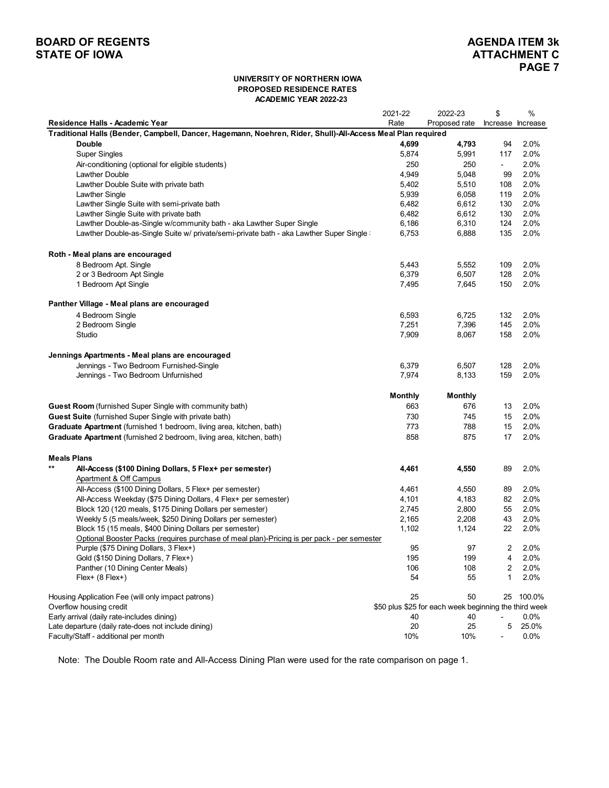# **BOARD OF REGENTS**<br> **BOARD OF REGENTS**<br> **BOARD OF IOWA**<br> **ATTACHMENT C**

#### **UNIVERSITY OF NORTHERN IOWA PROPOSED RESIDENCE RATES ACADEMIC YEAR 2022-23**

|                                                                                                             | 2021-22        | 2022-23                                               | \$                       | $\%$              |
|-------------------------------------------------------------------------------------------------------------|----------------|-------------------------------------------------------|--------------------------|-------------------|
| Residence Halls - Academic Year                                                                             | Rate           | Proposed rate                                         |                          | Increase Increase |
| Traditional Halls (Bender, Campbell, Dancer, Hagemann, Noehren, Rider, Shull)-All-Access Meal Plan required |                |                                                       |                          |                   |
| <b>Double</b>                                                                                               | 4,699          | 4,793                                                 | 94                       | 2.0%              |
| <b>Super Singles</b>                                                                                        | 5,874          | 5,991                                                 | 117                      | 2.0%              |
| Air-conditioning (optional for eligible students)                                                           | 250            | 250                                                   | $\sim$                   | 2.0%              |
| <b>Lawther Double</b>                                                                                       | 4,949          | 5,048                                                 | 99                       | 2.0%              |
| Lawther Double Suite with private bath                                                                      | 5,402          | 5,510                                                 | 108                      | 2.0%              |
| Lawther Single                                                                                              | 5,939          | 6,058                                                 | 119                      | 2.0%              |
| Lawther Single Suite with semi-private bath                                                                 | 6,482          | 6,612                                                 | 130                      | 2.0%              |
| Lawther Single Suite with private bath                                                                      | 6,482          | 6,612                                                 | 130                      | 2.0%              |
| Lawther Double-as-Single w/community bath - aka Lawther Super Single                                        | 6,186          | 6,310                                                 | 124                      | 2.0%              |
| Lawther Double-as-Single Suite w/ private/semi-private bath - aka Lawther Super Single                      | 6,753          | 6,888                                                 | 135                      | 2.0%              |
| Roth - Meal plans are encouraged                                                                            |                |                                                       |                          |                   |
| 8 Bedroom Apt. Single                                                                                       | 5,443          | 5,552                                                 | 109                      | 2.0%              |
| 2 or 3 Bedroom Apt Single                                                                                   | 6,379          | 6,507                                                 | 128                      | 2.0%              |
| 1 Bedroom Apt Single                                                                                        | 7,495          | 7,645                                                 | 150                      | 2.0%              |
| Panther Village - Meal plans are encouraged                                                                 |                |                                                       |                          |                   |
| 4 Bedroom Single                                                                                            | 6,593          | 6,725                                                 | 132                      | 2.0%              |
| 2 Bedroom Single                                                                                            | 7,251          | 7,396                                                 | 145                      | 2.0%              |
| Studio                                                                                                      | 7,909          | 8,067                                                 | 158                      | 2.0%              |
| Jennings Apartments - Meal plans are encouraged                                                             |                |                                                       |                          |                   |
| Jennings - Two Bedroom Furnished-Single                                                                     | 6,379          | 6,507                                                 | 128                      | 2.0%              |
| Jennings - Two Bedroom Unfurnished                                                                          | 7,974          | 8,133                                                 | 159                      | 2.0%              |
|                                                                                                             | <b>Monthly</b> | <b>Monthly</b>                                        |                          |                   |
| <b>Guest Room</b> (furnished Super Single with community bath)                                              | 663            | 676                                                   | 13                       | 2.0%              |
| Guest Suite (furnished Super Single with private bath)                                                      | 730            | 745                                                   | 15                       | 2.0%              |
| Graduate Apartment (furnished 1 bedroom, living area, kitchen, bath)                                        | 773            | 788                                                   | 15                       | 2.0%              |
| <b>Graduate Apartment</b> (furnished 2 bedroom, living area, kitchen, bath)                                 | 858            | 875                                                   | 17                       | 2.0%              |
| <b>Meals Plans</b>                                                                                          |                |                                                       |                          |                   |
| $***$<br>All-Access (\$100 Dining Dollars, 5 Flex+ per semester)                                            | 4,461          | 4,550                                                 | 89                       | 2.0%              |
| Apartment & Off Campus                                                                                      |                |                                                       |                          |                   |
| All-Access (\$100 Dining Dollars, 5 Flex+ per semester)                                                     | 4,461          | 4,550                                                 | 89                       | 2.0%              |
| All-Access Weekday (\$75 Dining Dollars, 4 Flex+ per semester)                                              | 4,101          | 4,183                                                 | 82                       | 2.0%              |
| Block 120 (120 meals, \$175 Dining Dollars per semester)                                                    | 2,745          | 2,800                                                 | 55                       | 2.0%              |
| Weekly 5 (5 meals/week, \$250 Dining Dollars per semester)                                                  | 2,165          | 2,208                                                 | 43                       | 2.0%              |
| Block 15 (15 meals, \$400 Dining Dollars per semester)                                                      | 1,102          | 1,124                                                 | 22                       | 2.0%              |
| Optional Booster Packs (requires purchase of meal plan)-Pricing is per pack - per semester                  |                |                                                       |                          |                   |
| Purple (\$75 Dining Dollars, 3 Flex+)                                                                       | 95             | 97                                                    | 2                        | 2.0%              |
| Gold (\$150 Dining Dollars, 7 Flex+)                                                                        | 195            | 199                                                   | 4                        | 2.0%              |
| Panther (10 Dining Center Meals)                                                                            | 106            | 108                                                   | 2                        | 2.0%              |
| Flex+ (8 Flex+)                                                                                             | 54             | 55                                                    | 1                        | 2.0%              |
| Housing Application Fee (will only impact patrons)                                                          | 25             | 50                                                    | 25                       | 100.0%            |
| Overflow housing credit                                                                                     |                | \$50 plus \$25 for each week beginning the third week |                          |                   |
| Early arrival (daily rate-includes dining)                                                                  | 40             | 40                                                    |                          | $0.0\%$           |
| Late departure (daily rate-does not include dining)                                                         | 20             | 25                                                    | 5                        | 25.0%             |
| Faculty/Staff - additional per month                                                                        | 10%            | 10%                                                   | $\overline{\phantom{a}}$ | 0.0%              |

Note: The Double Room rate and All-Access Dining Plan were used for the rate comparison on page 1.